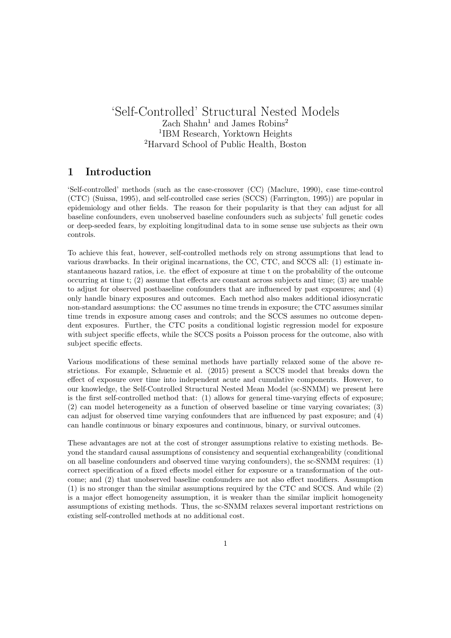## 'Self-Controlled' Structural Nested Models Zach Shahn<sup>1</sup> and James Robins<sup>2</sup> 1 IBM Research, Yorktown Heights <sup>2</sup>Harvard School of Public Health, Boston

#### 1 Introduction

'Self-controlled' methods (such as the case-crossover (CC) (Maclure, 1990), case time-control (CTC) (Suissa, 1995), and self-controlled case series (SCCS) (Farrington, 1995)) are popular in epidemiology and other fields. The reason for their popularity is that they can adjust for all baseline confounders, even unobserved baseline confounders such as subjects' full genetic codes or deep-seeded fears, by exploiting longitudinal data to in some sense use subjects as their own controls.

To achieve this feat, however, self-controlled methods rely on strong assumptions that lead to various drawbacks. In their original incarnations, the CC, CTC, and SCCS all: (1) estimate instantaneous hazard ratios, i.e. the effect of exposure at time t on the probability of the outcome occurring at time t; (2) assume that effects are constant across subjects and time; (3) are unable to adjust for observed postbaseline confounders that are influenced by past exposures; and (4) only handle binary exposures and outcomes. Each method also makes additional idiosyncratic non-standard assumptions: the CC assumes no time trends in exposure; the CTC assumes similar time trends in exposure among cases and controls; and the SCCS assumes no outcome dependent exposures. Further, the CTC posits a conditional logistic regression model for exposure with subject specific effects, while the SCCS posits a Poisson process for the outcome, also with subject specific effects.

Various modifications of these seminal methods have partially relaxed some of the above restrictions. For example, Schuemie et al. (2015) present a SCCS model that breaks down the effect of exposure over time into independent acute and cumulative components. However, to our knowledge, the Self-Controlled Structural Nested Mean Model (sc-SNMM) we present here is the first self-controlled method that: (1) allows for general time-varying effects of exposure; (2) can model heterogeneity as a function of observed baseline or time varying covariates; (3) can adjust for observed time varying confounders that are influenced by past exposure; and (4) can handle continuous or binary exposures and continuous, binary, or survival outcomes.

These advantages are not at the cost of stronger assumptions relative to existing methods. Beyond the standard causal assumptions of consistency and sequential exchangeability (conditional on all baseline confounders and observed time varying confounders), the sc-SNMM requires: (1) correct specification of a fixed effects model either for exposure or a transformation of the outcome; and (2) that unobserved baseline confounders are not also effect modifiers. Assumption (1) is no stronger than the similar assumptions required by the CTC and SCCS. And while (2) is a major effect homogeneity assumption, it is weaker than the similar implicit homogeneity assumptions of existing methods. Thus, the sc-SNMM relaxes several important restrictions on existing self-controlled methods at no additional cost.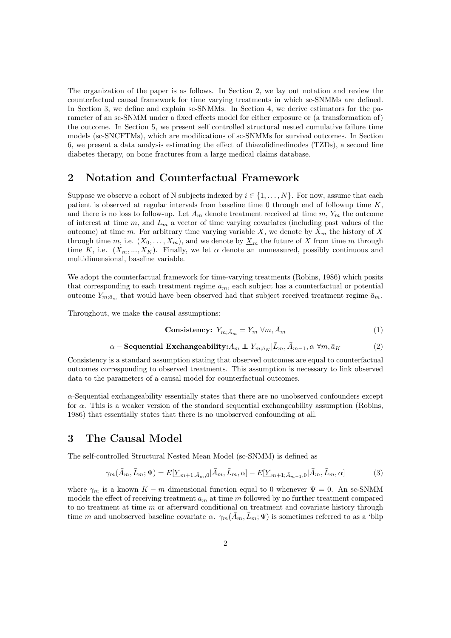The organization of the paper is as follows. In Section 2, we lay out notation and review the counterfactual causal framework for time varying treatments in which sc-SNMMs are defined. In Section 3, we define and explain sc-SNMMs. In Section 4, we derive estimators for the parameter of an sc-SNMM under a fixed effects model for either exposure or (a transformation of) the outcome. In Section 5, we present self controlled structural nested cumulative failure time models (sc-SNCFTMs), which are modifications of sc-SNMMs for survival outcomes. In Section 6, we present a data analysis estimating the effect of thiazolidinedinodes (TZDs), a second line diabetes therapy, on bone fractures from a large medical claims database.

#### 2 Notation and Counterfactual Framework

Suppose we observe a cohort of N subjects indexed by  $i \in \{1, \ldots, N\}$ . For now, assume that each patient is observed at regular intervals from baseline time  $0$  through end of followup time  $K$ , and there is no loss to follow-up. Let  $A_m$  denote treatment received at time  $m, Y_m$  the outcome of interest at time  $m$ , and  $L_m$  a vector of time varying covariates (including past values of the outcome) at time m. For arbitrary time varying variable X, we denote by  $\bar{X}_m$  the history of X through time m, i.e.  $(X_0, \ldots, X_m)$ , and we denote by  $\underline{X}_m$  the future of X from time m through time K, i.e.  $(X_m, ..., X_K)$ . Finally, we let  $\alpha$  denote an unmeasured, possibly continuous and multidimensional, baseline variable.

We adopt the counterfactual framework for time-varying treatments (Robins, 1986) which posits that corresponding to each treatment regime  $\bar{a}_m$ , each subject has a counterfactual or potential outcome  $Y_{m:\bar{a}_m}$  that would have been observed had that subject received treatment regime  $\bar{a}_m$ .

Throughout, we make the causal assumptions:

$$
\text{Consistency: } Y_{m; \bar{A}_m} = Y_m \ \forall m, \bar{A}_m \tag{1}
$$

$$
\alpha - \text{Sequential Exchangeability:} A_m \perp Y_{m; \bar{a}_K} | \bar{L}_m, \bar{A}_{m-1}, \alpha \, \forall m, \bar{a}_K \tag{2}
$$

Consistency is a standard assumption stating that observed outcomes are equal to counterfactual outcomes corresponding to observed treatments. This assumption is necessary to link observed data to the parameters of a causal model for counterfactual outcomes.

α-Sequential exchangeability essentially states that there are no unobserved confounders except for  $\alpha$ . This is a weaker version of the standard sequential exchangeability assumption (Robins, 1986) that essentially states that there is no unobserved confounding at all.

#### 3 The Causal Model

The self-controlled Structural Nested Mean Model (sc-SNMM) is defined as

$$
\gamma_m(\bar{A}_m, \bar{L}_m; \Psi) = E[\underline{Y}_{m+1, \bar{A}_m, 0} | \bar{A}_m, \bar{L}_m, \alpha] - E[\underline{Y}_{m+1, \bar{A}_{m-1}, 0} | \bar{A}_m, \bar{L}_m, \alpha] \tag{3}
$$

where  $\gamma_m$  is a known  $K - m$  dimensional function equal to 0 whenever  $\Psi = 0$ . An sc-SNMM models the effect of receiving treatment  $a_m$  at time m followed by no further treatment compared to no treatment at time m or afterward conditional on treatment and covariate history through time m and unobserved baseline covariate  $\alpha$ .  $\gamma_m(\bar{A}_m,\bar{L}_m;\Psi)$  is sometimes referred to as a 'blip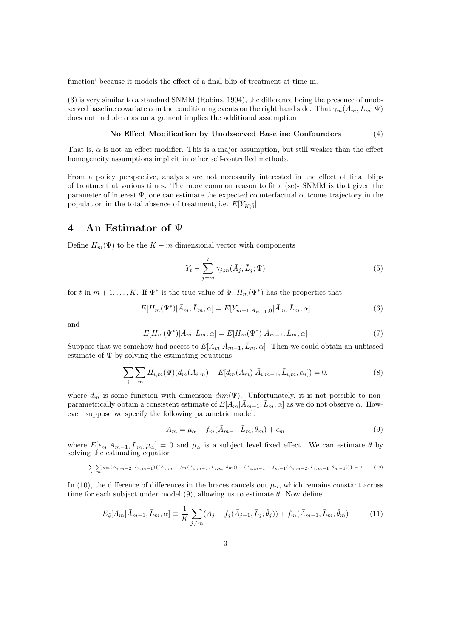function' because it models the effect of a final blip of treatment at time m.

(3) is very similar to a standard SNMM (Robins, 1994), the difference being the presence of unobserved baseline covariate  $\alpha$  in the conditioning events on the right hand side. That  $\gamma_m(\bar{A}_m,\bar{L}_m;\Psi)$ does not include  $\alpha$  as an argument implies the additional assumption

#### No Effect Modification by Unobserved Baseline Confounders (4)

That is,  $\alpha$  is not an effect modifier. This is a major assumption, but still weaker than the effect homogeneity assumptions implicit in other self-controlled methods.

From a policy perspective, analysts are not necessarily interested in the effect of final blips of treatment at various times. The more common reason to fit a (sc)- SNMM is that given the parameter of interest Ψ, one can estimate the expected counterfactual outcome trajectory in the population in the total absence of treatment, i.e.  $E[\bar{Y}_{K;\bar{0}}]$ .

#### 4 An Estimator of Ψ

Define  $H_m(\Psi)$  to be the  $K - m$  dimensional vector with components

$$
Y_t - \sum_{j=m}^t \gamma_{j,m}(\bar{A}_j, \bar{L}_j; \Psi)
$$
\n
$$
(5)
$$

for t in  $m+1,\ldots,K$ . If  $\Psi^*$  is the true value of  $\Psi$ ,  $H_m(\Psi^*)$  has the properties that

$$
E[H_m(\Psi^*)|\bar{A}_m, \bar{L}_m, \alpha] = E[Y_{m+1, \bar{A}_{m-1}, 0}|\bar{A}_m, \bar{L}_m, \alpha]
$$
(6)

and

$$
E[H_m(\Psi^*)|\bar{A}_m, \bar{L}_m, \alpha] = E[H_m(\Psi^*)|\bar{A}_{m-1}, \bar{L}_m, \alpha]
$$
\n(7)

Suppose that we somehow had access to  $E[A_m|\bar{A}_{m-1},\bar{L}_m,\alpha]$ . Then we could obtain an unbiased estimate of  $\Psi$  by solving the estimating equations

$$
\sum_{i} \sum_{m} H_{i,m}(\Psi)(d_m(A_{i,m}) - E[d_m(A_m)|\bar{A}_{i,m-1}, \bar{L}_{i,m}, \alpha_i]) = 0,
$$
\n(8)

where  $d_m$  is some function with dimension  $dim(\Psi)$ . Unfortunately, it is not possible to nonparametrically obtain a consistent estimate of  $E[A_m|\bar{A}_{m-1},\bar{L}_m,\alpha]$  as we do not observe  $\alpha$ . However, suppose we specify the following parametric model:

$$
A_m = \mu_\alpha + f_m(\bar{A}_{m-1}, \bar{L}_m; \theta_m) + \epsilon_m \tag{9}
$$

where  $E[\epsilon_m|\bar{A}_{m-1},\bar{L}_m,\mu_\alpha]=0$  and  $\mu_\alpha$  is a subject level fixed effect. We can estimate  $\theta$  by solving the estimating equation

$$
\sum_{i} \sum_{m} g_m(\bar{A}_{i,m-2}, \bar{L}_{i,m-1}) \{ (A_{i,m} - fm(\bar{A}_{i,m-1}, \bar{L}_{i,m}; \theta_m)) - (A_{i,m-1} - f_{m-1}(\bar{A}_{i,m-2}, \bar{L}_{i,m-1}; \theta_{m-1})) \} = 0 \tag{10}
$$

In (10), the difference of differences in the braces cancels out  $\mu_{\alpha}$ , which remains constant across time for each subject under model (9), allowing us to estimate  $\theta$ . Now define

$$
E_{\hat{\theta}}[A_m | \bar{A}_{m-1}, \bar{L}_m, \alpha] \equiv \frac{1}{K} \sum_{j \neq m} (A_j - f_j(\bar{A}_{j-1}, \bar{L}_j; \hat{\theta}_j)) + f_m(\bar{A}_{m-1}, \bar{L}_m; \hat{\theta}_m)
$$
(11)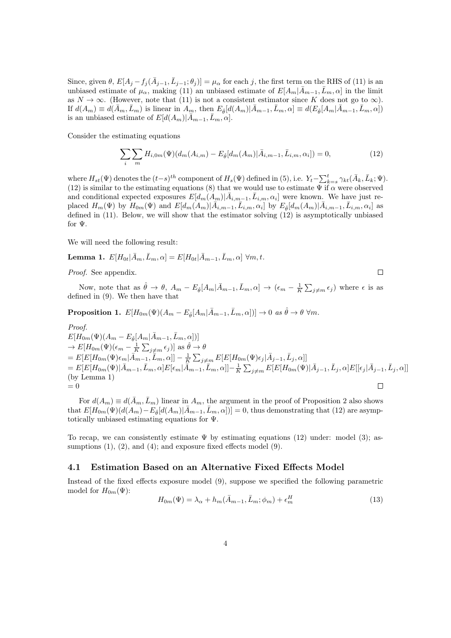Since, given  $\theta$ ,  $E[A_j - f_j(\bar{A}_{j-1}, \bar{L}_{j-1}; \theta_j)] = \mu_\alpha$  for each j, the first term on the RHS of (11) is an unbiased estimate of  $\mu_{\alpha}$ , making (11) an unbiased estimate of  $E[A_m|\bar{A}_{m-1},\bar{L}_m,\alpha]$  in the limit as  $N \to \infty$ . (However, note that (11) is not a consistent estimator since K does not go to  $\infty$ ). If  $d(A_m) \equiv d(\bar{A}_m, \bar{L}_m)$  is linear in  $A_m$ , then  $E_{\hat{\theta}}[d(A_m)|\bar{A}_{m-1}, \bar{L}_m, \alpha] \equiv d(E_{\hat{\theta}}[A_m|\bar{A}_{m-1}, \bar{L}_m, \alpha])$ is an unbiased estimate of  $E[d(A_m)|\bar{A}_{m-1},\bar{L}_m,\alpha].$ 

Consider the estimating equations

$$
\sum_{i} \sum_{m} H_{i,0m}(\Psi)(d_m(A_{i,m}) - E_{\hat{\theta}}[d_m(A_m)|\bar{A}_{i,m-1}, \bar{L}_{i,m}, \alpha_i]) = 0,
$$
\n(12)

 $\Box$ 

where  $H_{st}(\Psi)$  denotes the  $(t-s)^{th}$  component of  $H_s(\Psi)$  defined in (5), i.e.  $Y_t - \sum_{k=s}^{t} \gamma_{kt}(\bar{A}_k, \bar{L}_k; \Psi)$ . (12) is similar to the estimating equations (8) that we would use to estimate  $\Psi$  if  $\alpha$  were observed and conditional expected exposures  $E[d_m(A_m)|\bar{A}_{i,m-1}, \bar{L}_{i,m}, \alpha_i]$  were known. We have just replaced  $H_m(\Psi)$  by  $H_{0m}(\Psi)$  and  $E[d_m(A_m)|\overline{A}_{i,m-1}, \overline{L}_{i,m}, \alpha_i]$  by  $E_{\hat{\theta}}[d_m(A_m)|\overline{A}_{i,m-1}, \overline{L}_{i,m}, \alpha_i]$  as defined in (11). Below, we will show that the estimator solving (12) is asymptotically unbiased for Ψ.

We will need the following result:

**Lemma 1.**  $E[H_{0t}|\bar{A}_m,\bar{L}_m,\alpha] = E[H_{0t}|\bar{A}_{m-1},\bar{L}_m,\alpha] \forall m,t.$ 

Proof. See appendix.

Now, note that as  $\hat{\theta} \to \theta$ ,  $A_m - E_{\hat{\theta}}[A_m | \bar{A}_{m-1}, \bar{L}_m, \alpha] \to (\epsilon_m - \frac{1}{K} \sum_{j \neq m} \epsilon_j)$  where  $\epsilon$  is as defined in (9). We then have that

**Proposition 1.**  $E[H_{0m}(\Psi)(A_m - E_{\hat{\theta}}[A_m | \bar{A}_{m-1}, \bar{L}_m, \alpha])] \to 0$  as  $\hat{\theta} \to \theta$   $\forall m$ .

Proof.  $E[H_{0m}(\Psi)(A_m - E_{\hat{\theta}}[A_m | \bar{A}_{m-1}, \bar{L}_m, \alpha])]$  $\to E[H_{0m}(\Psi)(\epsilon_m - \frac{1}{K}\sum_{j \neq m} \epsilon_j)]$  as  $\hat{\theta} \to \theta$  $E[E[H_{0m}(\Psi)\epsilon_{m}|\overline{\tilde{A}}_{m-1},\overline{\tilde{L}}_{m},\alpha]] -\frac{1}{K}\sum_{j\neq m}E[E[H_{0m}(\Psi)\epsilon_{j}|\overline{A}_{j-1},\overline{L}_{j},\alpha]]$  $=E[E[H_{0m}(\Psi)|\bar{A}_{m-1},\bar{L}_m,\alpha]E[\epsilon_m|\bar{A}_{m-1},\bar{L}_m,\alpha]]-\tfrac{1}{K}\sum_{j\neq m}E[E[H_{0m}(\Psi)|\bar{A}_{j-1},\bar{L}_j,\alpha]E[[\epsilon_j|\bar{A}_{j-1},\bar{L}_j,\alpha]]$ (by Lemma 1)  $= 0$  $\Box$ 

For  $d(A_m) \equiv d(\bar{A}_m, \bar{L}_m)$  linear in  $A_m$ , the argument in the proof of Proposition 2 also shows that  $E[H_{0m}(\Psi)(d(A_m)-E_{\hat{\theta}}[d(A_m)|\bar{A}_{m-1},\bar{L}_m,\alpha])]=0$ , thus demonstrating that (12) are asymptotically unbiased estimating equations for Ψ.

To recap, we can consistently estimate  $\Psi$  by estimating equations (12) under: model (3); assumptions  $(1)$ ,  $(2)$ , and  $(4)$ ; and exposure fixed effects model  $(9)$ .

#### 4.1 Estimation Based on an Alternative Fixed Effects Model

Instead of the fixed effects exposure model (9), suppose we specified the following parametric model for  $H_{0m}(\Psi)$ :

$$
H_{0m}(\Psi) = \lambda_{\alpha} + h_m(\bar{A}_{m-1}, \bar{L}_m; \phi_m) + \epsilon_m^H
$$
\n(13)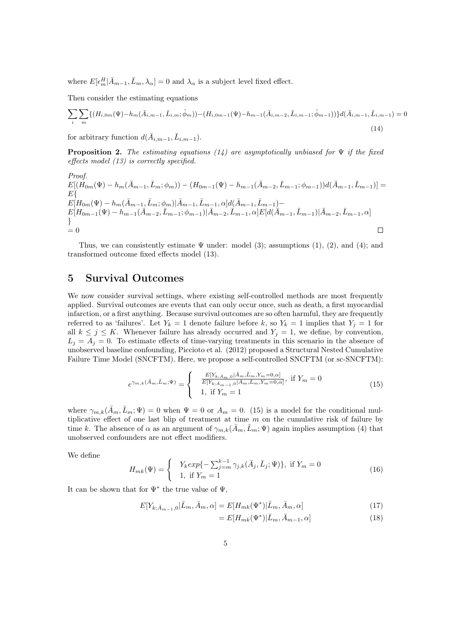where  $E[\epsilon_m^H | \bar{A}_{m-1}, \bar{L}_m, \lambda_\alpha] = 0$  and  $\lambda_\alpha$  is a subject level fixed effect.

Then consider the estimating equations

$$
\sum_{i} \sum_{m} \{ (H_{i,0m}(\Psi) - h_m(\bar{A}_{i,m-1}, \bar{L}_{i,m}; \hat{\phi}_m)) - (H_{i,0m-1}(\Psi) - h_{m-1}(\bar{A}_{i,m-2}, \bar{L}_{i,m-1}; \hat{\phi}_{m-1})) \} d(\bar{A}_{i,m-1}, \bar{L}_{i,m-1}) = 0
$$
\n(14)

for arbitrary function  $d(\bar{A}_{i,m-1}, \bar{L}_{i,m-1}).$ 

**Proposition 2.** The estimating equations (14) are asymptotically unbiased for  $\Psi$  if the fixed effects model (13) is correctly specified.

Proof.  
\n
$$
E[(H_{0m}(\Psi) - h_m(\bar{A}_{m-1}, \bar{L}_m; \phi_m)) - (H_{0m-1}(\Psi) - h_{m-1}(\bar{A}_{m-2}, \bar{L}_{m-1}; \phi_{m-1}))d(\bar{A}_{m-1}, \bar{L}_{m-1})] =
$$
\n
$$
E\{H_{0m}(\Psi) - h_m(\bar{A}_{m-1}, \bar{L}_m; \phi_m)|\bar{A}_{m-1}, \bar{L}_{m-1}, \alpha]d(\bar{A}_{m-1}, \bar{L}_{m-1}) -
$$
\n
$$
E[H_{0m-1}(\Psi) - h_{m-1}(\bar{A}_{m-2}, \bar{L}_{m-1}; \phi_{m-1})|\bar{A}_{m-2}, \bar{L}_{m-1}, \alpha]E[d(\bar{A}_{m-1}, \bar{L}_{m-1})|\bar{A}_{m-2}, \bar{L}_{m-1}, \alpha]
$$
\n
$$
= 0
$$

Thus, we can consistently estimate  $\Psi$  under: model (3); assumptions (1), (2), and (4); and transformed outcome fixed effects model (13).

#### 5 Survival Outcomes

We now consider survival settings, where existing self-controlled methods are most frequently applied. Survival outcomes are events that can only occur once, such as death, a first myocardial infarction, or a first anything. Because survival outcomes are so often harmful, they are frequently referred to as 'failures'. Let  $Y_k = 1$  denote failure before k, so  $Y_k = 1$  implies that  $Y_j = 1$  for all  $k \le j \le K$ . Whenever failure has already occurred and  $Y_j = 1$ , we define, by convention,  $L_j = A_j = 0$ . To estimate effects of time-varying treatments in this scenario in the absence of unobserved baseline confounding, Piccioto et al. (2012) proposed a Structural Nested Cumulative Failure Time Model (SNCFTM). Here, we propose a self-controlled SNCFTM (or sc-SNCFTM):

$$
e^{\gamma_{m,k}(\bar{A}_m,\bar{L}_m;\Psi)} = \begin{cases} &\frac{E[Y_{k;\bar{A}_m,0}|\bar{A}_m,\bar{L}_m,Y_m=0,\alpha]}{E[Y_{k;\bar{A}_{m-1},0}|\bar{A}_m,\bar{L}_m,Y_m=0,\alpha]}, \text{ if } Y_m=0\\ &1, \text{ if } Y_m=1 \end{cases} \tag{15}
$$

where  $\gamma_{m,k}(\bar{A}_m,\bar{L}_m;\Psi) = 0$  when  $\Psi = 0$  or  $A_m = 0$ . (15) is a model for the conditional multiplicative effect of one last blip of treatment at time  $m$  on the cumulative risk of failure by time k. The absence of  $\alpha$  as an argument of  $\gamma_{m,k}(\bar{A}_m,\bar{L}_m;\Psi)$  again implies assumption (4) that unobserved confounders are not effect modifiers.

We define

$$
H_{mk}(\Psi) = \begin{cases} Y_k exp\{-\sum_{j=m}^{k-1} \gamma_{j,k}(\bar{A}_j, \bar{L}_j; \Psi)\}, & \text{if } Y_m = 0\\ 1, & \text{if } Y_m = 1 \end{cases}
$$
(16)

It can be shown that for  $\Psi^*$  the true value of  $\Psi$ ,

$$
E[Y_{k; \bar{A}_{m-1},0}|\bar{L}_m, \bar{A}_m, \alpha] = E[H_{mk}(\Psi^*)|\bar{L}_m, \bar{A}_m, \alpha]
$$
\n(17)

$$
= E[H_{mk}(\Psi^*)|\bar{L}_m, \bar{A}_{m-1}, \alpha] \tag{18}
$$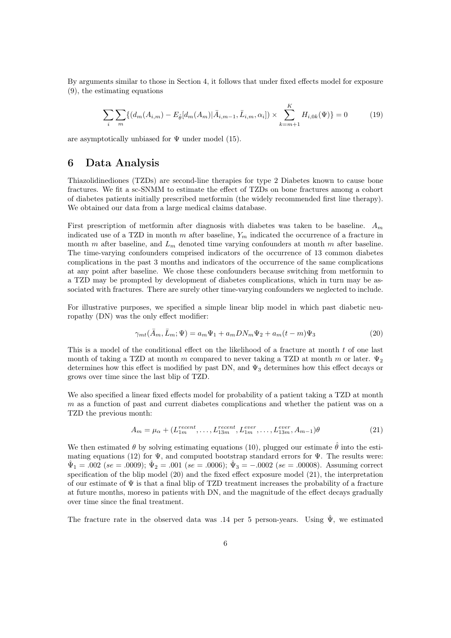By arguments similar to those in Section 4, it follows that under fixed effects model for exposure (9), the estimating equations

$$
\sum_{i} \sum_{m} \{ (d_m(A_{i,m}) - E_{\hat{\theta}}[d_m(A_m)|\bar{A}_{i,m-1}, \bar{L}_{i,m}, \alpha_i]) \times \sum_{k=m+1}^{K} H_{i,0k}(\Psi) \} = 0 \tag{19}
$$

are asymptotically unbiased for  $\Psi$  under model (15).

### 6 Data Analysis

Thiazolidinediones (TZDs) are second-line therapies for type 2 Diabetes known to cause bone fractures. We fit a sc-SNMM to estimate the effect of TZDs on bone fractures among a cohort of diabetes patients initially prescribed metformin (the widely recommended first line therapy). We obtained our data from a large medical claims database.

First prescription of metformin after diagnosis with diabetes was taken to be baseline.  $A_m$ indicated use of a TZD in month m after baseline,  $Y_m$  indicated the occurrence of a fracture in month m after baseline, and  $L_m$  denoted time varying confounders at month m after baseline. The time-varying confounders comprised indicators of the occurrence of 13 common diabetes complications in the past 3 months and indicators of the occurrence of the same complications at any point after baseline. We chose these confounders because switching from metformin to a TZD may be prompted by development of diabetes complications, which in turn may be associated with fractures. There are surely other time-varying confounders we neglected to include.

For illustrative purposes, we specified a simple linear blip model in which past diabetic neuropathy (DN) was the only effect modifier:

$$
\gamma_{mt}(\bar{A}_m, \bar{L}_m; \Psi) = a_m \Psi_1 + a_m DN_m \Psi_2 + a_m (t - m)\Psi_3 \tag{20}
$$

This is a model of the conditional effect on the likelihood of a fracture at month t of one last month of taking a TZD at month m compared to never taking a TZD at month m or later.  $\Psi_2$ determines how this effect is modified by past DN, and  $\Psi_3$  determines how this effect decays or grows over time since the last blip of TZD.

We also specified a linear fixed effects model for probability of a patient taking a TZD at month m as a function of past and current diabetes complications and whether the patient was on a TZD the previous month:

$$
A_m = \mu_\alpha + (L_{1m}^{recent}, \dots, L_{13m}^{recent}, L_{1m}^{ever}, \dots, L_{13m}^{ever}, A_{m-1})\theta
$$
\n(21)

We then estimated  $\theta$  by solving estimating equations (10), plugged our estimate  $\hat{\theta}$  into the estimating equations (12) for  $\Psi$ , and computed bootstrap standard errors for  $\Psi$ . The results were:  $\hat{\Psi}_1 = .002$  (se = .0009);  $\hat{\Psi}_2 = .001$  (se = .0006);  $\hat{\Psi}_3 = -.0002$  (se = .00008). Assuming correct specification of the blip model (20) and the fixed effect exposure model (21), the interpretation of our estimate of  $\Psi$  is that a final blip of TZD treatment increases the probability of a fracture at future months, moreso in patients with DN, and the magnitude of the effect decays gradually over time since the final treatment.

The fracture rate in the observed data was .14 per 5 person-years. Using  $\hat{\Psi}$ , we estimated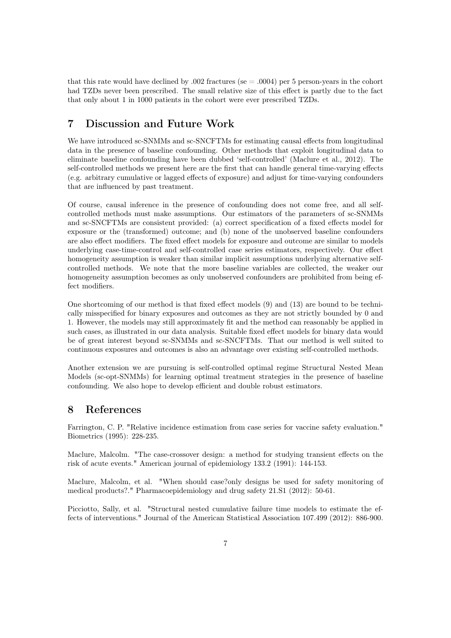that this rate would have declined by .002 fractures (se  $=$  .0004) per 5 person-years in the cohort had TZDs never been prescribed. The small relative size of this effect is partly due to the fact that only about 1 in 1000 patients in the cohort were ever prescribed TZDs.

### 7 Discussion and Future Work

We have introduced sc-SNMMs and sc-SNCFTMs for estimating causal effects from longitudinal data in the presence of baseline confounding. Other methods that exploit longitudinal data to eliminate baseline confounding have been dubbed 'self-controlled' (Maclure et al., 2012). The self-controlled methods we present here are the first that can handle general time-varying effects (e.g. arbitrary cumulative or lagged effects of exposure) and adjust for time-varying confounders that are influenced by past treatment.

Of course, causal inference in the presence of confounding does not come free, and all selfcontrolled methods must make assumptions. Our estimators of the parameters of sc-SNMMs and sc-SNCFTMs are consistent provided: (a) correct specification of a fixed effects model for exposure or the (transformed) outcome; and (b) none of the unobserved baseline confounders are also effect modifiers. The fixed effect models for exposure and outcome are similar to models underlying case-time-control and self-controlled case series estimators, respectively. Our effect homogeneity assumption is weaker than similar implicit assumptions underlying alternative selfcontrolled methods. We note that the more baseline variables are collected, the weaker our homogeneity assumption becomes as only unobserved confounders are prohibited from being effect modifiers.

One shortcoming of our method is that fixed effect models (9) and (13) are bound to be technically misspecified for binary exposures and outcomes as they are not strictly bounded by 0 and 1. However, the models may still approximately fit and the method can reasonably be applied in such cases, as illustrated in our data analysis. Suitable fixed effect models for binary data would be of great interest beyond sc-SNMMs and sc-SNCFTMs. That our method is well suited to continuous exposures and outcomes is also an advantage over existing self-controlled methods.

Another extension we are pursuing is self-controlled optimal regime Structural Nested Mean Models (sc-opt-SNMMs) for learning optimal treatment strategies in the presence of baseline confounding. We also hope to develop efficient and double robust estimators.

#### 8 References

Farrington, C. P. "Relative incidence estimation from case series for vaccine safety evaluation." Biometrics (1995): 228-235.

Maclure, Malcolm. "The case-crossover design: a method for studying transient effects on the risk of acute events." American journal of epidemiology 133.2 (1991): 144-153.

Maclure, Malcolm, et al. "When should case?only designs be used for safety monitoring of medical products?." Pharmacoepidemiology and drug safety 21.S1 (2012): 50-61.

Picciotto, Sally, et al. "Structural nested cumulative failure time models to estimate the effects of interventions." Journal of the American Statistical Association 107.499 (2012): 886-900.